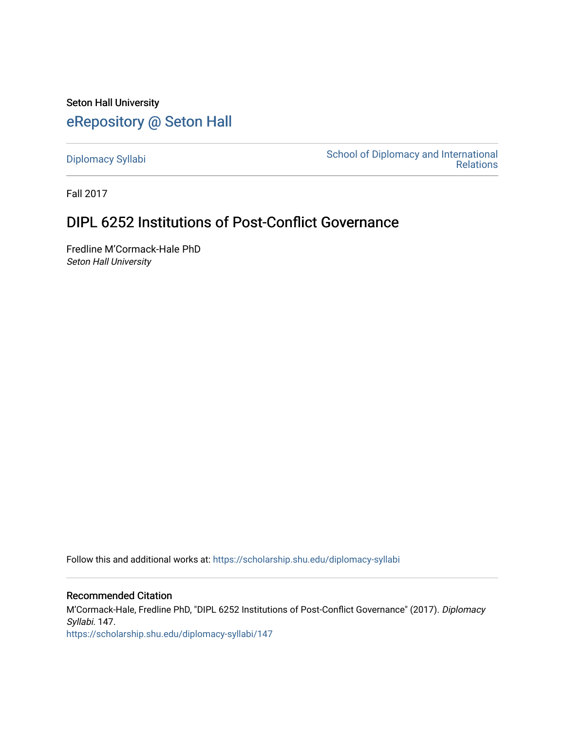Seton Hall University [eRepository @ Seton Hall](https://scholarship.shu.edu/)

[Diplomacy Syllabi](https://scholarship.shu.edu/diplomacy-syllabi) [School of Diplomacy and International](https://scholarship.shu.edu/diplomacy)  [Relations](https://scholarship.shu.edu/diplomacy) 

Fall 2017

# DIPL 6252 Institutions of Post-Conflict Governance

Fredline M'Cormack-Hale PhD Seton Hall University

Follow this and additional works at: [https://scholarship.shu.edu/diplomacy-syllabi](https://scholarship.shu.edu/diplomacy-syllabi?utm_source=scholarship.shu.edu%2Fdiplomacy-syllabi%2F147&utm_medium=PDF&utm_campaign=PDFCoverPages) 

#### Recommended Citation

M'Cormack-Hale, Fredline PhD, "DIPL 6252 Institutions of Post-Conflict Governance" (2017). Diplomacy Syllabi. 147. [https://scholarship.shu.edu/diplomacy-syllabi/147](https://scholarship.shu.edu/diplomacy-syllabi/147?utm_source=scholarship.shu.edu%2Fdiplomacy-syllabi%2F147&utm_medium=PDF&utm_campaign=PDFCoverPages)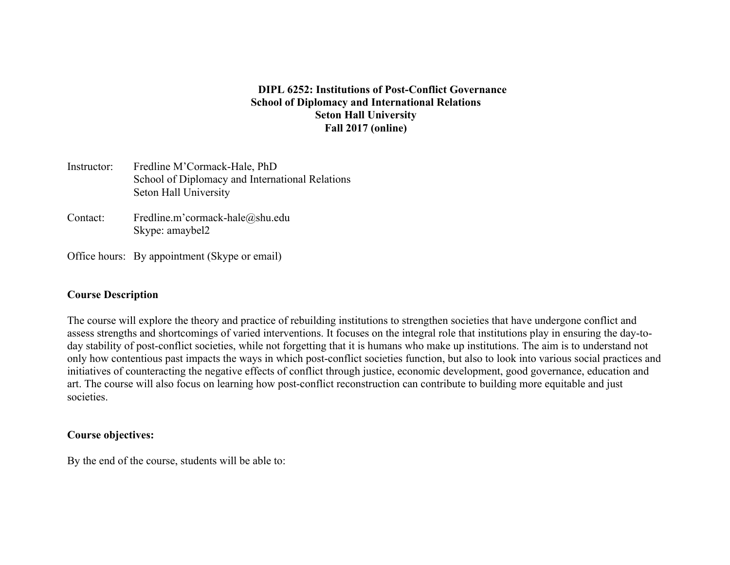#### **DIPL 6252: Institutions of Post-Conflict Governance School of Diplomacy and International Relations Seton Hall University Fall 2017 (online)**

- Instructor: Fredline M'Cormack-Hale, PhD School of Diplomacy and International Relations Seton Hall University
- Contact: Fredline.m'cormack-hale@shu.edu Skype: amaybel2
- Office hours: By appointment (Skype or email)

#### **Course Description**

The course will explore the theory and practice of rebuilding institutions to strengthen societies that have undergone conflict and assess strengths and shortcomings of varied interventions. It focuses on the integral role that institutions play in ensuring the day-today stability of post-conflict societies, while not forgetting that it is humans who make up institutions. The aim is to understand not only how contentious past impacts the ways in which post-conflict societies function, but also to look into various social practices and initiatives of counteracting the negative effects of conflict through justice, economic development, good governance, education and art. The course will also focus on learning how post-conflict reconstruction can contribute to building more equitable and just societies.

#### **Course objectives:**

By the end of the course, students will be able to: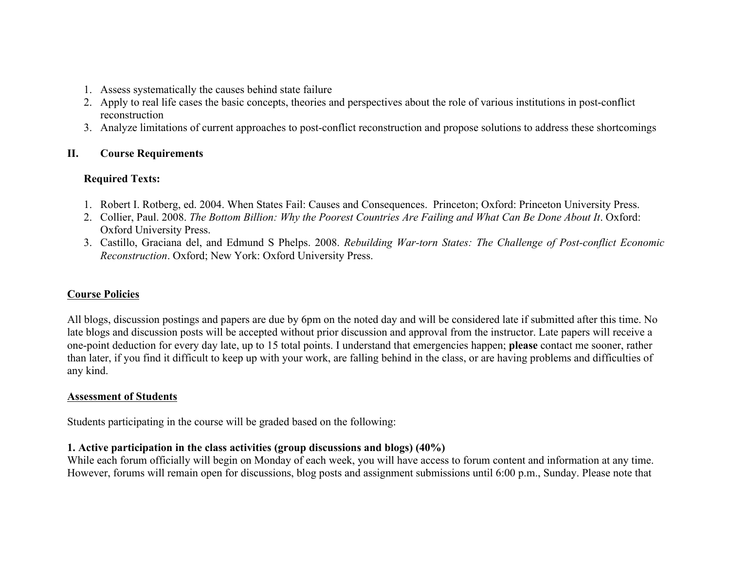- 1. Assess systematically the causes behind state failure
- 2. Apply to real life cases the basic concepts, theories and perspectives about the role of various institutions in post-conflict reconstruction
- 3. Analyze limitations of current approaches to post-conflict reconstruction and propose solutions to address these shortcomings

# **II. Course Requirements**

# **Required Texts:**

- 1. Robert I. Rotberg, ed. 2004. When States Fail: Causes and Consequences. Princeton; Oxford: Princeton University Press.
- 2. Collier, Paul. 2008. *The Bottom Billion: Why the Poorest Countries Are Failing and What Can Be Done About It*. Oxford: Oxford University Press.
- 3. Castillo, Graciana del, and Edmund S Phelps. 2008. *Rebuilding War-torn States: The Challenge of Post-conflict Economic Reconstruction*. Oxford; New York: Oxford University Press.

# **Course Policies**

All blogs, discussion postings and papers are due by 6pm on the noted day and will be considered late if submitted after this time. No late blogs and discussion posts will be accepted without prior discussion and approval from the instructor. Late papers will receive a one-point deduction for every day late, up to 15 total points. I understand that emergencies happen; **please** contact me sooner, rather than later, if you find it difficult to keep up with your work, are falling behind in the class, or are having problems and difficulties of any kind.

# **Assessment of Students**

Students participating in the course will be graded based on the following:

# **1. Active participation in the class activities (group discussions and blogs) (40%)**

While each forum officially will begin on Monday of each week, you will have access to forum content and information at any time. However, forums will remain open for discussions, blog posts and assignment submissions until 6:00 p.m., Sunday. Please note that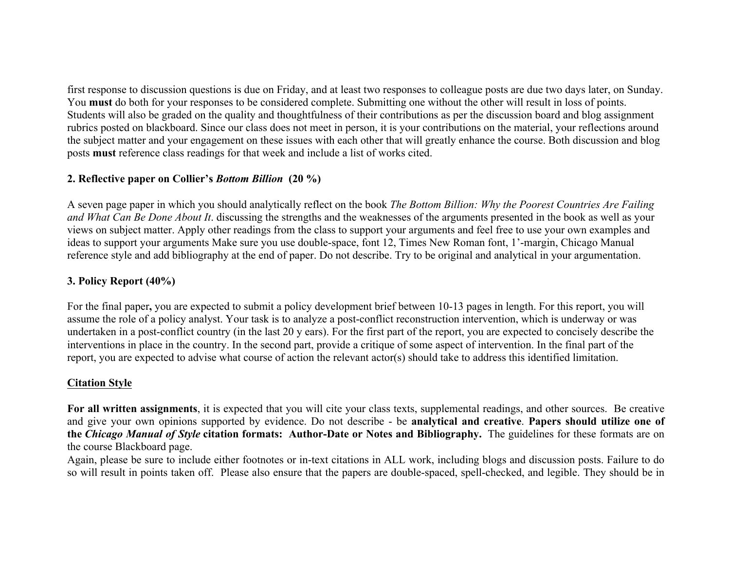first response to discussion questions is due on Friday, and at least two responses to colleague posts are due two days later, on Sunday. You **must** do both for your responses to be considered complete. Submitting one without the other will result in loss of points. Students will also be graded on the quality and thoughtfulness of their contributions as per the discussion board and blog assignment rubrics posted on blackboard. Since our class does not meet in person, it is your contributions on the material, your reflections around the subject matter and your engagement on these issues with each other that will greatly enhance the course. Both discussion and blog posts **must** reference class readings for that week and include a list of works cited.

# **2. Reflective paper on Collier's** *Bottom Billion* **(20 %)**

A seven page paper in which you should analytically reflect on the book *The Bottom Billion: Why the Poorest Countries Are Failing and What Can Be Done About It*. discussing the strengths and the weaknesses of the arguments presented in the book as well as your views on subject matter. Apply other readings from the class to support your arguments and feel free to use your own examples and ideas to support your arguments Make sure you use double-space, font 12, Times New Roman font, 1'-margin, Chicago Manual reference style and add bibliography at the end of paper. Do not describe. Try to be original and analytical in your argumentation.

# **3. Policy Report (40%)**

For the final paper**,** you are expected to submit a policy development brief between 10-13 pages in length. For this report, you will assume the role of a policy analyst. Your task is to analyze a post-conflict reconstruction intervention, which is underway or was undertaken in a post-conflict country (in the last 20 y ears). For the first part of the report, you are expected to concisely describe the interventions in place in the country. In the second part, provide a critique of some aspect of intervention. In the final part of the report, you are expected to advise what course of action the relevant actor(s) should take to address this identified limitation.

# **Citation Style**

**For all written assignments**, it is expected that you will cite your class texts, supplemental readings, and other sources. Be creative and give your own opinions supported by evidence. Do not describe - be **analytical and creative**. **Papers should utilize one of the** *Chicago Manual of Style* **citation formats: Author-Date or Notes and Bibliography.** The guidelines for these formats are on the course Blackboard page.

Again, please be sure to include either footnotes or in-text citations in ALL work, including blogs and discussion posts. Failure to do so will result in points taken off. Please also ensure that the papers are double-spaced, spell-checked, and legible. They should be in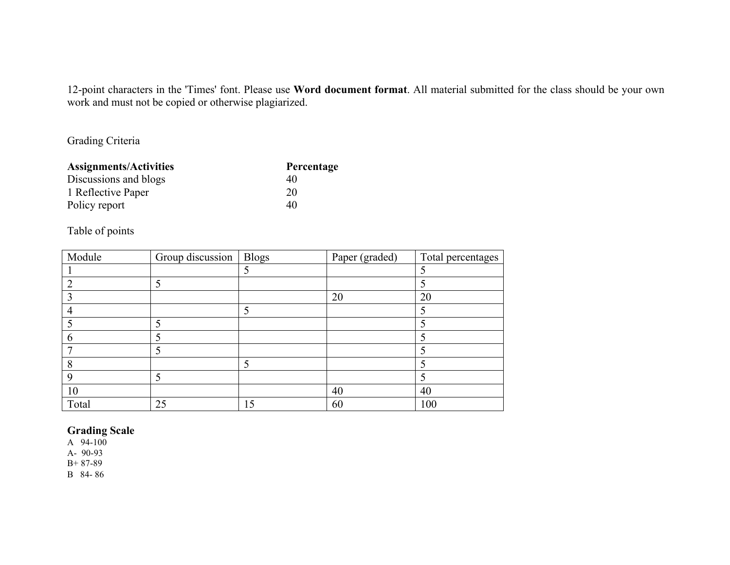12-point characters in the 'Times' font. Please use **Word document format**. All material submitted for the class should be your own work and must not be copied or otherwise plagiarized.

Grading Criteria

| <b>Assignments/Activities</b> | Percentage |
|-------------------------------|------------|
| Discussions and blogs         | 40         |
| 1 Reflective Paper            | 20         |
| Policy report                 | 40         |

# Table of points

| Module | Group discussion | <b>Blogs</b> | Paper (graded) | Total percentages |
|--------|------------------|--------------|----------------|-------------------|
|        |                  |              |                |                   |
|        |                  |              |                |                   |
|        |                  |              | 20             | 20                |
| 4      |                  |              |                |                   |
|        |                  |              |                |                   |
| O      |                  |              |                |                   |
|        |                  |              |                |                   |
| 8      |                  |              |                |                   |
| Q      |                  |              |                |                   |
| 10     |                  |              | 40             | 40                |
| Total  | 25               | 15           | 60             | 100               |

## **Grading Scale**

A 94-100

A- 90-93

B+ 87-89

B 84- 86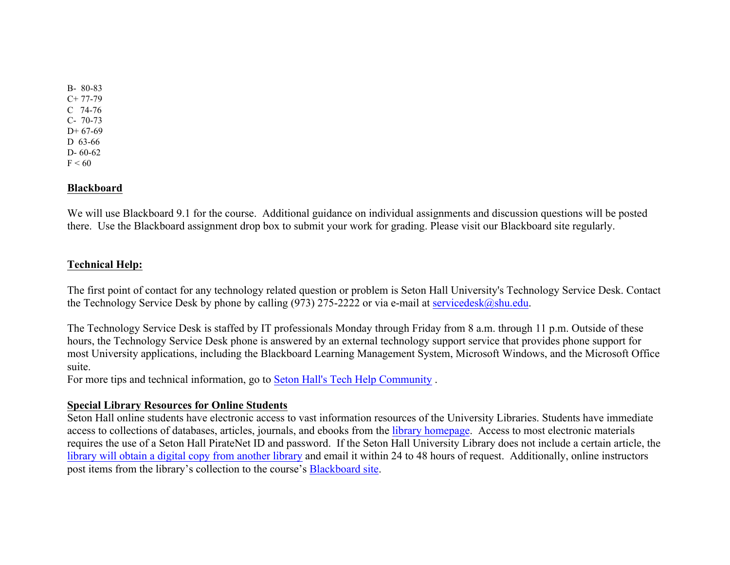B- 80-83  $C+ 77-79$ C 74-76 C- 70-73  $D+67-69$ D 63-66 D- 60-62  $F < 60$ 

#### **Blackboard**

We will use Blackboard 9.1 for the course. Additional guidance on individual assignments and discussion questions will be posted there. Use the Blackboard assignment drop box to submit your work for grading. Please visit our Blackboard site regularly.

#### **Technical Help:**

The first point of contact for any technology related question or problem is Seton Hall University's Technology Service Desk. Contact the Technology Service Desk by phone by calling (973) 275-2222 or via e-mail at servicedesk@shu.edu.

The Technology Service Desk is staffed by IT professionals Monday through Friday from 8 a.m. through 11 p.m. Outside of these hours, the Technology Service Desk phone is answered by an external technology support service that provides phone support for most University applications, including the Blackboard Learning Management System, Microsoft Windows, and the Microsoft Office suite.

For more tips and technical information, go to Seton Hall's Tech Help Community .

#### **Special Library Resources for Online Students**

Seton Hall online students have electronic access to vast information resources of the University Libraries. Students have immediate access to collections of databases, articles, journals, and ebooks from the library homepage. Access to most electronic materials requires the use of a Seton Hall PirateNet ID and password. If the Seton Hall University Library does not include a certain article, the library will obtain a digital copy from another library and email it within 24 to 48 hours of request. Additionally, online instructors post items from the library's collection to the course's Blackboard site.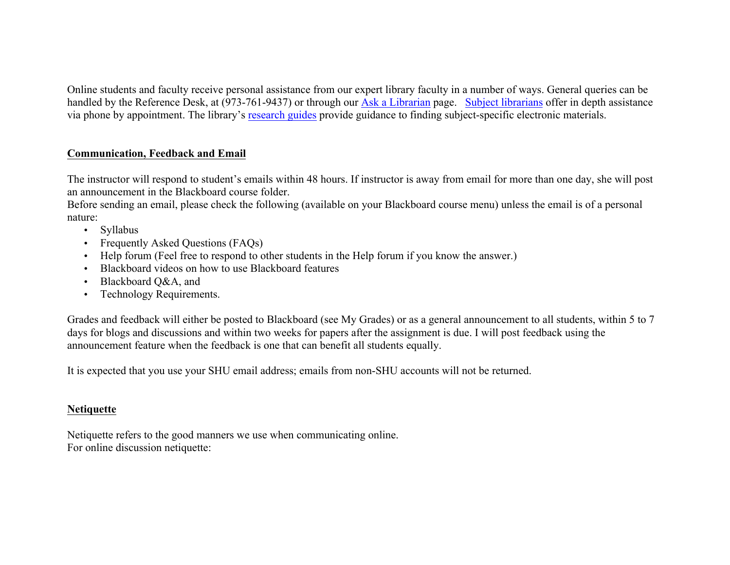Online students and faculty receive personal assistance from our expert library faculty in a number of ways. General queries can be handled by the Reference Desk, at (973-761-9437) or through our Ask a Librarian page. Subject librarians offer in depth assistance via phone by appointment. The library's research guides provide guidance to finding subject-specific electronic materials.

# **Communication, Feedback and Email**

The instructor will respond to student's emails within 48 hours. If instructor is away from email for more than one day, she will post an announcement in the Blackboard course folder.

Before sending an email, please check the following (available on your Blackboard course menu) unless the email is of a personal nature:

- Syllabus
- Frequently Asked Ouestions (FAOs)
- Help forum (Feel free to respond to other students in the Help forum if you know the answer.)
- Blackboard videos on how to use Blackboard features
- Blackboard O&A, and
- Technology Requirements.

Grades and feedback will either be posted to Blackboard (see My Grades) or as a general announcement to all students, within 5 to 7 days for blogs and discussions and within two weeks for papers after the assignment is due. I will post feedback using the announcement feature when the feedback is one that can benefit all students equally.

It is expected that you use your SHU email address; emails from non-SHU accounts will not be returned.

# **Netiquette**

Netiquette refers to the good manners we use when communicating online. For online discussion netiquette: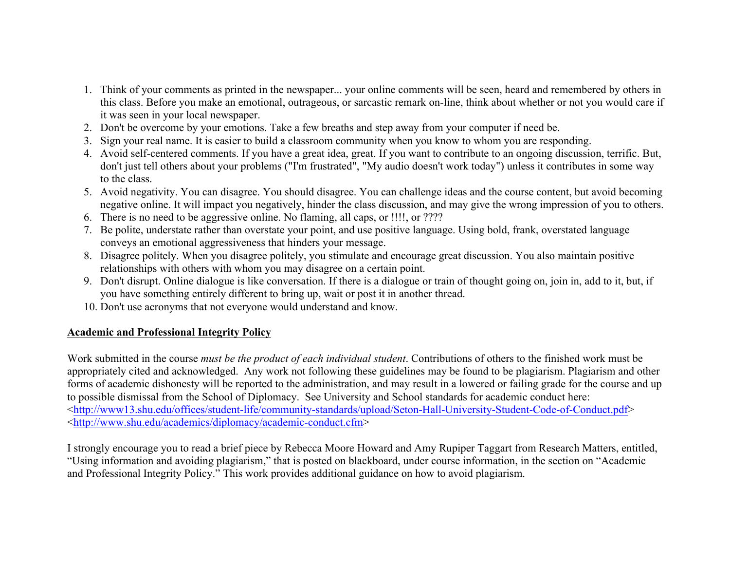- 1. Think of your comments as printed in the newspaper... your online comments will be seen, heard and remembered by others in this class. Before you make an emotional, outrageous, or sarcastic remark on-line, think about whether or not you would care if it was seen in your local newspaper.
- 2. Don't be overcome by your emotions. Take a few breaths and step away from your computer if need be.
- 3. Sign your real name. It is easier to build a classroom community when you know to whom you are responding.
- 4. Avoid self-centered comments. If you have a great idea, great. If you want to contribute to an ongoing discussion, terrific. But, don't just tell others about your problems ("I'm frustrated", "My audio doesn't work today") unless it contributes in some way to the class.
- 5. Avoid negativity. You can disagree. You should disagree. You can challenge ideas and the course content, but avoid becoming negative online. It will impact you negatively, hinder the class discussion, and may give the wrong impression of you to others.
- 6. There is no need to be aggressive online. No flaming, all caps, or !!!!, or ????
- 7. Be polite, understate rather than overstate your point, and use positive language. Using bold, frank, overstated language conveys an emotional aggressiveness that hinders your message.
- 8. Disagree politely. When you disagree politely, you stimulate and encourage great discussion. You also maintain positive relationships with others with whom you may disagree on a certain point.
- 9. Don't disrupt. Online dialogue is like conversation. If there is a dialogue or train of thought going on, join in, add to it, but, if you have something entirely different to bring up, wait or post it in another thread.
- 10. Don't use acronyms that not everyone would understand and know.

# **Academic and Professional Integrity Policy**

Work submitted in the course *must be the product of each individual student*. Contributions of others to the finished work must be appropriately cited and acknowledged. Any work not following these guidelines may be found to be plagiarism. Plagiarism and other forms of academic dishonesty will be reported to the administration, and may result in a lowered or failing grade for the course and up to possible dismissal from the School of Diplomacy. See University and School standards for academic conduct here: <http://www13.shu.edu/offices/student-life/community-standards/upload/Seton-Hall-University-Student-Code-of-Conduct.pdf> <http://www.shu.edu/academics/diplomacy/academic-conduct.cfm>

I strongly encourage you to read a brief piece by Rebecca Moore Howard and Amy Rupiper Taggart from Research Matters, entitled, "Using information and avoiding plagiarism," that is posted on blackboard, under course information, in the section on "Academic and Professional Integrity Policy." This work provides additional guidance on how to avoid plagiarism.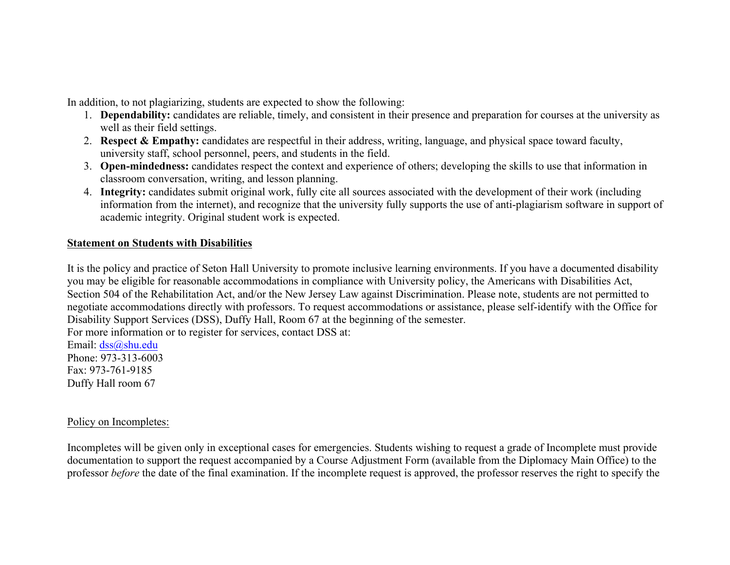In addition, to not plagiarizing, students are expected to show the following:

- 1. **Dependability:** candidates are reliable, timely, and consistent in their presence and preparation for courses at the university as well as their field settings.
- 2. **Respect & Empathy:** candidates are respectful in their address, writing, language, and physical space toward faculty, university staff, school personnel, peers, and students in the field.
- 3. **Open-mindedness:** candidates respect the context and experience of others; developing the skills to use that information in classroom conversation, writing, and lesson planning.
- 4. **Integrity:** candidates submit original work, fully cite all sources associated with the development of their work (including information from the internet), and recognize that the university fully supports the use of anti-plagiarism software in support of academic integrity. Original student work is expected.

## **Statement on Students with Disabilities**

It is the policy and practice of Seton Hall University to promote inclusive learning environments. If you have a documented disability you may be eligible for reasonable accommodations in compliance with University policy, the Americans with Disabilities Act, Section 504 of the Rehabilitation Act, and/or the New Jersey Law against Discrimination. Please note, students are not permitted to negotiate accommodations directly with professors. To request accommodations or assistance, please self-identify with the Office for Disability Support Services (DSS), Duffy Hall, Room 67 at the beginning of the semester.

For more information or to register for services, contact DSS at:

Email: dss@shu.edu Phone: 973-313-6003 Fax: 973-761-9185 Duffy Hall room 67

# Policy on Incompletes:

Incompletes will be given only in exceptional cases for emergencies. Students wishing to request a grade of Incomplete must provide documentation to support the request accompanied by a Course Adjustment Form (available from the Diplomacy Main Office) to the professor *before* the date of the final examination. If the incomplete request is approved, the professor reserves the right to specify the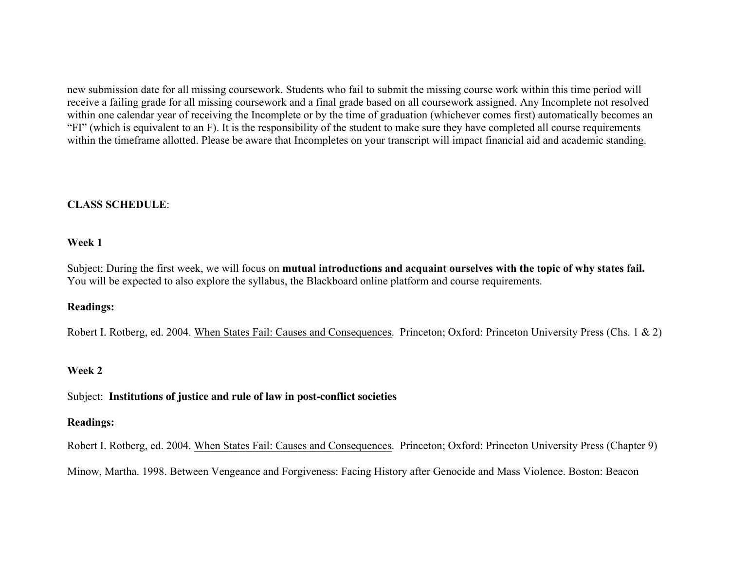new submission date for all missing coursework. Students who fail to submit the missing course work within this time period will receive a failing grade for all missing coursework and a final grade based on all coursework assigned. Any Incomplete not resolved within one calendar year of receiving the Incomplete or by the time of graduation (whichever comes first) automatically becomes an "FI" (which is equivalent to an F). It is the responsibility of the student to make sure they have completed all course requirements within the timeframe allotted. Please be aware that Incompletes on your transcript will impact financial aid and academic standing.

## **CLASS SCHEDULE**:

#### **Week 1**

Subject: During the first week, we will focus on **mutual introductions and acquaint ourselves with the topic of why states fail.** You will be expected to also explore the syllabus, the Blackboard online platform and course requirements.

## **Readings:**

Robert I. Rotberg, ed. 2004. When States Fail: Causes and Consequences. Princeton; Oxford: Princeton University Press (Chs. 1 & 2)

# **Week 2**

Subject: **Institutions of justice and rule of law in post-conflict societies**

#### **Readings:**

Robert I. Rotberg, ed. 2004. When States Fail: Causes and Consequences. Princeton; Oxford: Princeton University Press (Chapter 9)

Minow, Martha. 1998. Between Vengeance and Forgiveness: Facing History after Genocide and Mass Violence. Boston: Beacon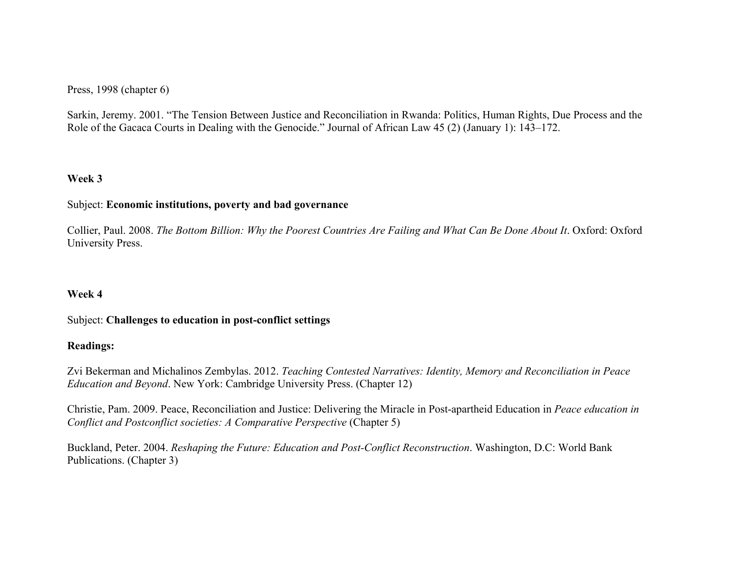Press, 1998 (chapter 6)

Sarkin, Jeremy. 2001. "The Tension Between Justice and Reconciliation in Rwanda: Politics, Human Rights, Due Process and the Role of the Gacaca Courts in Dealing with the Genocide." Journal of African Law 45 (2) (January 1): 143–172.

# **Week 3**

#### Subject: **Economic institutions, poverty and bad governance**

Collier, Paul. 2008. *The Bottom Billion: Why the Poorest Countries Are Failing and What Can Be Done About It*. Oxford: Oxford University Press.

#### **Week 4**

#### Subject: **Challenges to education in post-conflict settings**

#### **Readings:**

Zvi Bekerman and Michalinos Zembylas. 2012. *Teaching Contested Narratives: Identity, Memory and Reconciliation in Peace Education and Beyond*. New York: Cambridge University Press. (Chapter 12)

Christie, Pam. 2009. Peace, Reconciliation and Justice: Delivering the Miracle in Post-apartheid Education in *Peace education in Conflict and Postconflict societies: A Comparative Perspective* (Chapter 5)

Buckland, Peter. 2004. *Reshaping the Future: Education and Post-Conflict Reconstruction*. Washington, D.C: World Bank Publications. (Chapter 3)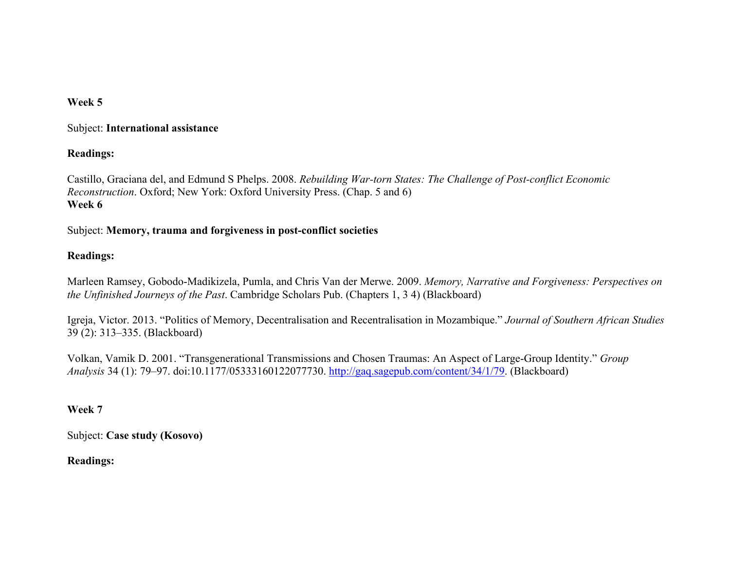# **Week 5**

#### Subject: **International assistance**

## **Readings:**

Castillo, Graciana del, and Edmund S Phelps. 2008. *Rebuilding War-torn States: The Challenge of Post-conflict Economic Reconstruction*. Oxford; New York: Oxford University Press. (Chap. 5 and 6) **Week 6** 

## Subject: **Memory, trauma and forgiveness in post-conflict societies**

# **Readings:**

Marleen Ramsey, Gobodo-Madikizela, Pumla, and Chris Van der Merwe. 2009. *Memory, Narrative and Forgiveness: Perspectives on the Unfinished Journeys of the Past*. Cambridge Scholars Pub. (Chapters 1, 3 4) (Blackboard)

Igreja, Victor. 2013. "Politics of Memory, Decentralisation and Recentralisation in Mozambique." *Journal of Southern African Studies* 39 (2): 313–335. (Blackboard)

Volkan, Vamik D. 2001. "Transgenerational Transmissions and Chosen Traumas: An Aspect of Large-Group Identity." *Group Analysis* 34 (1): 79–97. doi:10.1177/05333160122077730. http://gaq.sagepub.com/content/34/1/79. (Blackboard)

# **Week 7**

Subject: **Case study (Kosovo)**

# **Readings:**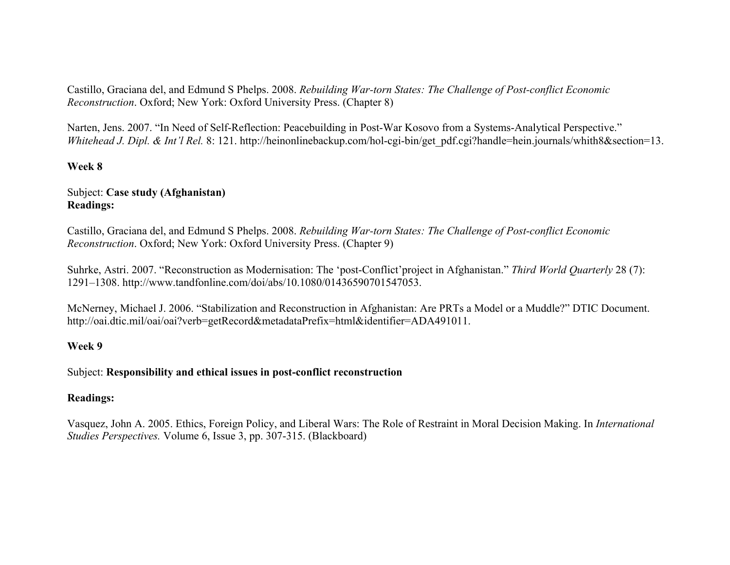Castillo, Graciana del, and Edmund S Phelps. 2008. *Rebuilding War-torn States: The Challenge of Post-conflict Economic Reconstruction*. Oxford; New York: Oxford University Press. (Chapter 8)

Narten, Jens. 2007. "In Need of Self-Reflection: Peacebuilding in Post-War Kosovo from a Systems-Analytical Perspective." *Whitehead J. Dipl. & Int'l Rel.* 8: 121. http://heinonlinebackup.com/hol-cgi-bin/get\_pdf.cgi?handle=hein.journals/whith8&section=13.

# **Week 8**

#### Subject: **Case study (Afghanistan) Readings:**

Castillo, Graciana del, and Edmund S Phelps. 2008. *Rebuilding War-torn States: The Challenge of Post-conflict Economic Reconstruction*. Oxford; New York: Oxford University Press. (Chapter 9)

Suhrke, Astri. 2007. "Reconstruction as Modernisation: The 'post-Conflict'project in Afghanistan." *Third World Quarterly* 28 (7): 1291–1308. http://www.tandfonline.com/doi/abs/10.1080/01436590701547053.

McNerney, Michael J. 2006. "Stabilization and Reconstruction in Afghanistan: Are PRTs a Model or a Muddle?" DTIC Document. http://oai.dtic.mil/oai/oai?verb=getRecord&metadataPrefix=html&identifier=ADA491011.

#### **Week 9**

#### Subject: **Responsibility and ethical issues in post-conflict reconstruction**

#### **Readings:**

Vasquez, John A. 2005. Ethics, Foreign Policy, and Liberal Wars: The Role of Restraint in Moral Decision Making. In *International Studies Perspectives.* Volume 6, Issue 3, pp. 307-315. (Blackboard)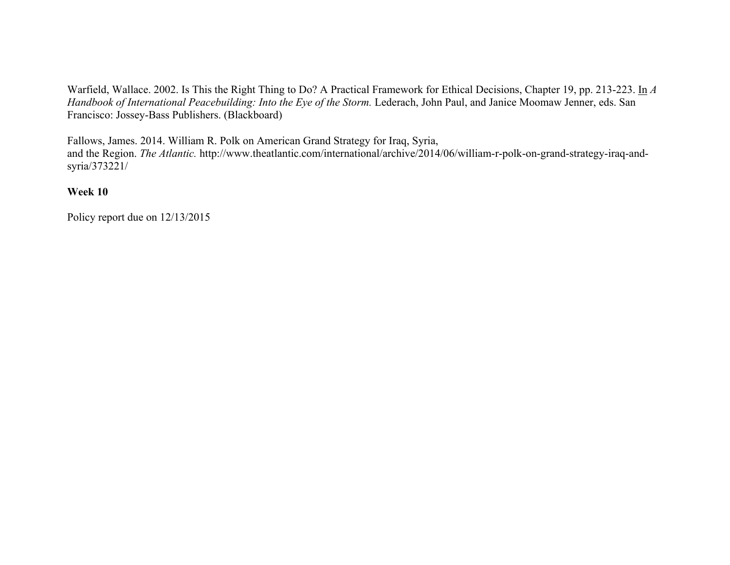Warfield, Wallace. 2002. Is This the Right Thing to Do? A Practical Framework for Ethical Decisions, Chapter 19, pp. 213-223. In *A Handbook of International Peacebuilding: Into the Eye of the Storm. Lederach, John Paul, and Janice Moomaw Jenner, eds. San* Francisco: Jossey-Bass Publishers. (Blackboard)

Fallows, James. 2014. William R. Polk on American Grand Strategy for Iraq, Syria,

and the Region. *The Atlantic*. http://www.theatlantic.com/international/archive/2014/06/william-r-polk-on-grand-strategy-iraq-andsyria/373221/

# **Week 10**

Policy report due on 12/13/2015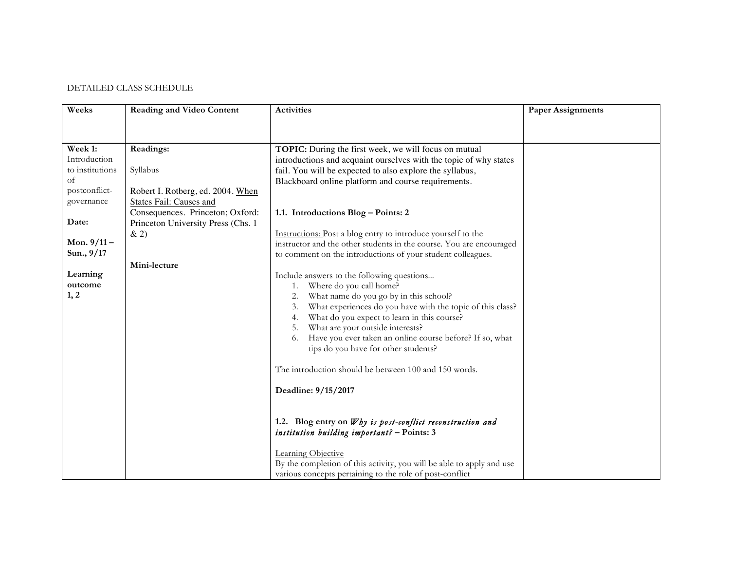#### DETAILED CLASS SCHEDULE

| Weeks           | <b>Reading and Video Content</b>   | <b>Activities</b>                                                                                         | <b>Paper Assignments</b> |
|-----------------|------------------------------------|-----------------------------------------------------------------------------------------------------------|--------------------------|
|                 |                                    |                                                                                                           |                          |
| Week 1:         | Readings:                          | TOPIC: During the first week, we will focus on mutual                                                     |                          |
| Introduction    |                                    | introductions and acquaint ourselves with the topic of why states                                         |                          |
| to institutions | Syllabus                           | fail. You will be expected to also explore the syllabus,                                                  |                          |
| of              |                                    | Blackboard online platform and course requirements.                                                       |                          |
| postconflict-   | Robert I. Rotberg, ed. 2004. When  |                                                                                                           |                          |
| governance      | States Fail: Causes and            |                                                                                                           |                          |
|                 | Consequences. Princeton; Oxford:   | 1.1. Introductions Blog - Points: 2                                                                       |                          |
| Date:           | Princeton University Press (Chs. 1 |                                                                                                           |                          |
|                 | & 2)                               | Instructions: Post a blog entry to introduce yourself to the                                              |                          |
| Mon. $9/11 -$   |                                    | instructor and the other students in the course. You are encouraged                                       |                          |
| Sun., 9/17      |                                    | to comment on the introductions of your student colleagues.                                               |                          |
|                 | Mini-lecture                       |                                                                                                           |                          |
| Learning        |                                    | Include answers to the following questions                                                                |                          |
| outcome         |                                    | Where do you call home?<br>1.                                                                             |                          |
| 1, 2            |                                    | What name do you go by in this school?<br>2.                                                              |                          |
|                 |                                    | What experiences do you have with the topic of this class?<br>3.                                          |                          |
|                 |                                    | What do you expect to learn in this course?<br>4.                                                         |                          |
|                 |                                    | What are your outside interests?<br>5.                                                                    |                          |
|                 |                                    | Have you ever taken an online course before? If so, what<br>6.                                            |                          |
|                 |                                    | tips do you have for other students?                                                                      |                          |
|                 |                                    | The introduction should be between 100 and 150 words.                                                     |                          |
|                 |                                    | Deadline: 9/15/2017                                                                                       |                          |
|                 |                                    |                                                                                                           |                          |
|                 |                                    | 1.2. Blog entry on Why is post-conflict reconstruction and<br>institution building important? - Points: 3 |                          |
|                 |                                    | Learning Objective                                                                                        |                          |
|                 |                                    | By the completion of this activity, you will be able to apply and use                                     |                          |
|                 |                                    | various concepts pertaining to the role of post-conflict                                                  |                          |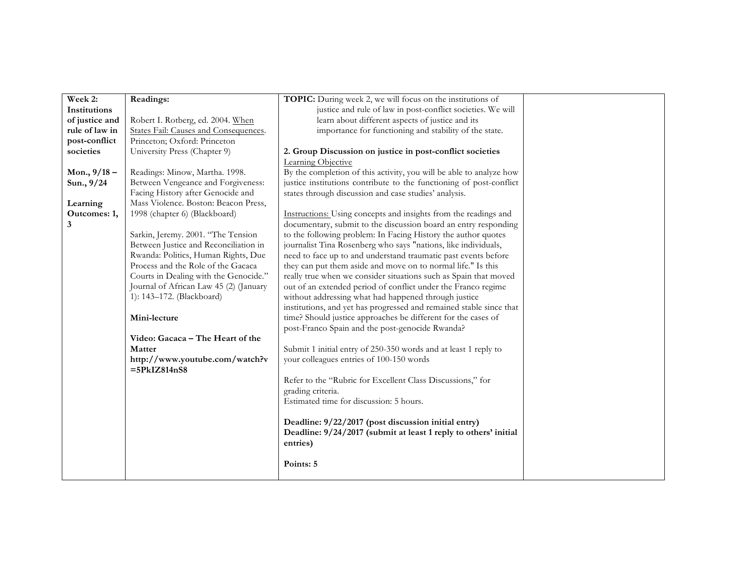| Week 2:        | Readings:                                        | <b>TOPIC:</b> During week 2, we will focus on the institutions of   |  |
|----------------|--------------------------------------------------|---------------------------------------------------------------------|--|
| Institutions   |                                                  | justice and rule of law in post-conflict societies. We will         |  |
| of justice and | Robert I. Rotberg, ed. 2004. When                | learn about different aspects of justice and its                    |  |
| rule of law in | States Fail: Causes and Consequences.            | importance for functioning and stability of the state.              |  |
| post-conflict  | Princeton; Oxford: Princeton                     |                                                                     |  |
| societies      | University Press (Chapter 9)                     | 2. Group Discussion on justice in post-conflict societies           |  |
|                |                                                  | Learning Objective                                                  |  |
| Mon., $9/18 -$ | Readings: Minow, Martha. 1998.                   | By the completion of this activity, you will be able to analyze how |  |
| Sun., 9/24     | Between Vengeance and Forgiveness:               | justice institutions contribute to the functioning of post-conflict |  |
|                | Facing History after Genocide and                | states through discussion and case studies' analysis.               |  |
| Learning       | Mass Violence. Boston: Beacon Press,             |                                                                     |  |
| Outcomes: 1,   | 1998 (chapter 6) (Blackboard)                    | Instructions: Using concepts and insights from the readings and     |  |
| 3              |                                                  | documentary, submit to the discussion board an entry responding     |  |
|                | Sarkin, Jeremy. 2001. "The Tension               | to the following problem: In Facing History the author quotes       |  |
|                | Between Justice and Reconciliation in            | journalist Tina Rosenberg who says "nations, like individuals,      |  |
|                | Rwanda: Politics, Human Rights, Due              | need to face up to and understand traumatic past events before      |  |
|                | Process and the Role of the Gacaca               | they can put them aside and move on to normal life." Is this        |  |
|                | Courts in Dealing with the Genocide."            | really true when we consider situations such as Spain that moved    |  |
|                | Journal of African Law 45 (2) (January           | out of an extended period of conflict under the Franco regime       |  |
|                | 1): 143-172. (Blackboard)                        | without addressing what had happened through justice                |  |
|                |                                                  | institutions, and yet has progressed and remained stable since that |  |
|                | Mini-lecture                                     | time? Should justice approaches be different for the cases of       |  |
|                |                                                  | post-Franco Spain and the post-genocide Rwanda?                     |  |
|                | Video: Gacaca - The Heart of the                 |                                                                     |  |
|                | Matter                                           | Submit 1 initial entry of 250-350 words and at least 1 reply to     |  |
|                | http://www.youtube.com/watch?v<br>$=5PkIZ814nS8$ | your colleagues entries of 100-150 words                            |  |
|                |                                                  | Refer to the "Rubric for Excellent Class Discussions," for          |  |
|                |                                                  | grading criteria.                                                   |  |
|                |                                                  | Estimated time for discussion: 5 hours.                             |  |
|                |                                                  |                                                                     |  |
|                |                                                  | Deadline: 9/22/2017 (post discussion initial entry)                 |  |
|                |                                                  | Deadline: 9/24/2017 (submit at least 1 reply to others' initial     |  |
|                |                                                  | entries)                                                            |  |
|                |                                                  |                                                                     |  |
|                |                                                  | Points: 5                                                           |  |
|                |                                                  |                                                                     |  |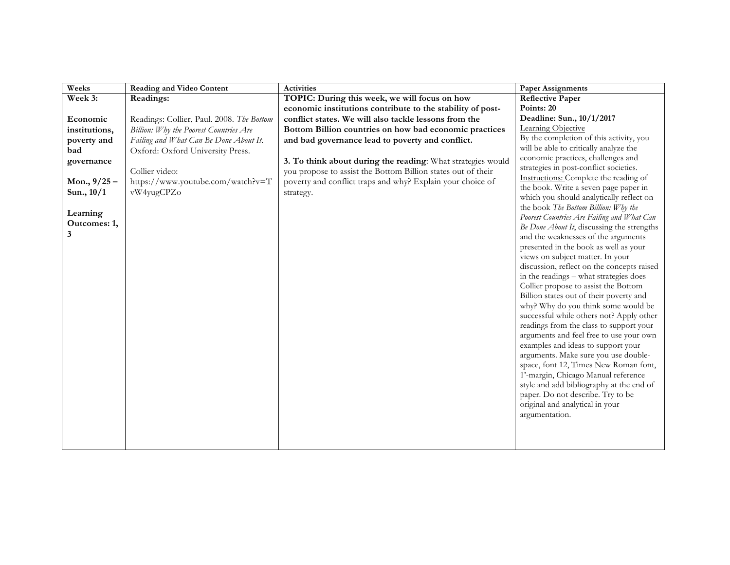| Weeks          | <b>Reading and Video Content</b>          | <b>Activities</b>                                            | <b>Paper Assignments</b>                                                           |
|----------------|-------------------------------------------|--------------------------------------------------------------|------------------------------------------------------------------------------------|
| Week 3:        | Readings:                                 | TOPIC: During this week, we will focus on how                | <b>Reflective Paper</b>                                                            |
|                |                                           | economic institutions contribute to the stability of post-   | Points: 20                                                                         |
| Economic       | Readings: Collier, Paul. 2008. The Bottom | conflict states. We will also tackle lessons from the        | Deadline: Sun., 10/1/2017                                                          |
| institutions,  | Billion: Why the Poorest Countries Are    | Bottom Billion countries on how bad economic practices       | Learning Objective                                                                 |
| poverty and    | Failing and What Can Be Done About It.    | and bad governance lead to poverty and conflict.             | By the completion of this activity, you                                            |
| bad            | Oxford: Oxford University Press.          |                                                              | will be able to critically analyze the                                             |
| governance     |                                           | 3. To think about during the reading: What strategies would  | economic practices, challenges and                                                 |
|                | Collier video:                            | you propose to assist the Bottom Billion states out of their | strategies in post-conflict societies.                                             |
| Mon., $9/25 -$ | https://www.youtube.com/watch?v=T         | poverty and conflict traps and why? Explain your choice of   | Instructions: Complete the reading of                                              |
| Sun., 10/1     | vW4yugCPZo                                | strategy.                                                    | the book. Write a seven page paper in                                              |
|                |                                           |                                                              | which you should analytically reflect on                                           |
| Learning       |                                           |                                                              | the book The Bottom Billion: Why the<br>Poorest Countries Are Failing and What Can |
| Outcomes: 1,   |                                           |                                                              | Be Done About It, discussing the strengths                                         |
| 3              |                                           |                                                              | and the weaknesses of the arguments                                                |
|                |                                           |                                                              | presented in the book as well as your                                              |
|                |                                           |                                                              | views on subject matter. In your                                                   |
|                |                                           |                                                              | discussion, reflect on the concepts raised                                         |
|                |                                           |                                                              | in the readings - what strategies does                                             |
|                |                                           |                                                              | Collier propose to assist the Bottom                                               |
|                |                                           |                                                              | Billion states out of their poverty and                                            |
|                |                                           |                                                              | why? Why do you think some would be                                                |
|                |                                           |                                                              | successful while others not? Apply other                                           |
|                |                                           |                                                              | readings from the class to support your                                            |
|                |                                           |                                                              | arguments and feel free to use your own                                            |
|                |                                           |                                                              | examples and ideas to support your                                                 |
|                |                                           |                                                              | arguments. Make sure you use double-                                               |
|                |                                           |                                                              | space, font 12, Times New Roman font,                                              |
|                |                                           |                                                              | 1'-margin, Chicago Manual reference                                                |
|                |                                           |                                                              | style and add bibliography at the end of                                           |
|                |                                           |                                                              | paper. Do not describe. Try to be                                                  |
|                |                                           |                                                              | original and analytical in your<br>argumentation.                                  |
|                |                                           |                                                              |                                                                                    |
|                |                                           |                                                              |                                                                                    |
|                |                                           |                                                              |                                                                                    |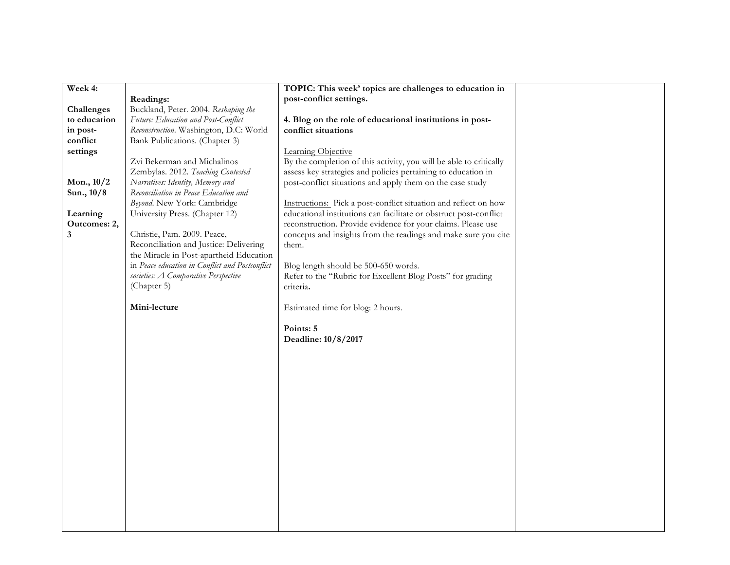| Week 4:      |                                                 | TOPIC: This week' topics are challenges to education in            |  |
|--------------|-------------------------------------------------|--------------------------------------------------------------------|--|
|              | Readings:                                       | post-conflict settings.                                            |  |
| Challenges   | Buckland, Peter. 2004. Reshaping the            |                                                                    |  |
| to education | Future: Education and Post-Conflict             | 4. Blog on the role of educational institutions in post-           |  |
| in post-     | Reconstruction. Washington, D.C: World          | conflict situations                                                |  |
| conflict     | Bank Publications. (Chapter 3)                  |                                                                    |  |
| settings     |                                                 | Learning Objective                                                 |  |
|              | Zvi Bekerman and Michalinos                     | By the completion of this activity, you will be able to critically |  |
|              | Zembylas. 2012. Teaching Contested              | assess key strategies and policies pertaining to education in      |  |
| Mon., 10/2   | Narratives: Identity, Memory and                | post-conflict situations and apply them on the case study          |  |
| Sun., 10/8   | Reconciliation in Peace Education and           |                                                                    |  |
|              | Beyond. New York: Cambridge                     | Instructions: Pick a post-conflict situation and reflect on how    |  |
| Learning     | University Press. (Chapter 12)                  | educational institutions can facilitate or obstruct post-conflict  |  |
| Outcomes: 2, |                                                 | reconstruction. Provide evidence for your claims. Please use       |  |
| 3            | Christie, Pam. 2009. Peace,                     | concepts and insights from the readings and make sure you cite     |  |
|              | Reconciliation and Justice: Delivering          | them.                                                              |  |
|              | the Miracle in Post-apartheid Education         |                                                                    |  |
|              | in Peace education in Conflict and Postconflict | Blog length should be 500-650 words.                               |  |
|              | societies: A Comparative Perspective            | Refer to the "Rubric for Excellent Blog Posts" for grading         |  |
|              | (Chapter 5)                                     | criteria.                                                          |  |
|              |                                                 |                                                                    |  |
|              | Mini-lecture                                    | Estimated time for blog: 2 hours.                                  |  |
|              |                                                 |                                                                    |  |
|              |                                                 | Points: 5                                                          |  |
|              |                                                 | Deadline: 10/8/2017                                                |  |
|              |                                                 |                                                                    |  |
|              |                                                 |                                                                    |  |
|              |                                                 |                                                                    |  |
|              |                                                 |                                                                    |  |
|              |                                                 |                                                                    |  |
|              |                                                 |                                                                    |  |
|              |                                                 |                                                                    |  |
|              |                                                 |                                                                    |  |
|              |                                                 |                                                                    |  |
|              |                                                 |                                                                    |  |
|              |                                                 |                                                                    |  |
|              |                                                 |                                                                    |  |
|              |                                                 |                                                                    |  |
|              |                                                 |                                                                    |  |
|              |                                                 |                                                                    |  |
|              |                                                 |                                                                    |  |
|              |                                                 |                                                                    |  |
|              |                                                 |                                                                    |  |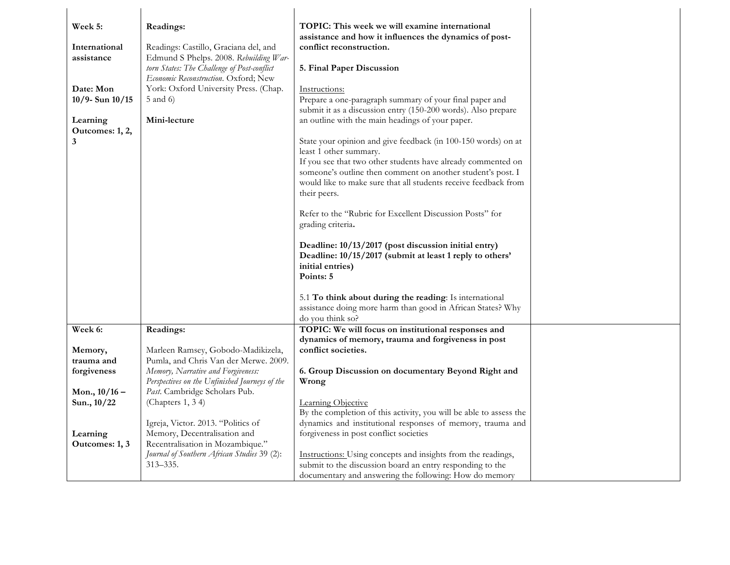| Week 5:                     | Readings:                                                   | TOPIC: This week we will examine international                                                                      |
|-----------------------------|-------------------------------------------------------------|---------------------------------------------------------------------------------------------------------------------|
|                             |                                                             | assistance and how it influences the dynamics of post-                                                              |
| International               | Readings: Castillo, Graciana del, and                       | conflict reconstruction.                                                                                            |
| assistance                  | Edmund S Phelps. 2008. Rebuilding War-                      |                                                                                                                     |
|                             | torn States: The Challenge of Post-conflict                 | 5. Final Paper Discussion                                                                                           |
|                             | Economic Reconstruction. Oxford; New                        |                                                                                                                     |
| Date: Mon                   | York: Oxford University Press. (Chap.                       | Instructions:                                                                                                       |
| 10/9- Sun 10/15             | 5 and 6)                                                    | Prepare a one-paragraph summary of your final paper and                                                             |
|                             | Mini-lecture                                                | submit it as a discussion entry (150-200 words). Also prepare                                                       |
| Learning<br>Outcomes: 1, 2, |                                                             | an outline with the main headings of your paper.                                                                    |
| 3                           |                                                             | State your opinion and give feedback (in 100-150 words) on at                                                       |
|                             |                                                             | least 1 other summary.                                                                                              |
|                             |                                                             | If you see that two other students have already commented on                                                        |
|                             |                                                             | someone's outline then comment on another student's post. I                                                         |
|                             |                                                             | would like to make sure that all students receive feedback from                                                     |
|                             |                                                             | their peers.                                                                                                        |
|                             |                                                             |                                                                                                                     |
|                             |                                                             | Refer to the "Rubric for Excellent Discussion Posts" for                                                            |
|                             |                                                             | grading criteria.                                                                                                   |
|                             |                                                             | Deadline: 10/13/2017 (post discussion initial entry)                                                                |
|                             |                                                             | Deadline: 10/15/2017 (submit at least 1 reply to others'                                                            |
|                             |                                                             | initial entries)                                                                                                    |
|                             |                                                             | Points: 5                                                                                                           |
|                             |                                                             |                                                                                                                     |
|                             |                                                             | 5.1 To think about during the reading: Is international                                                             |
|                             |                                                             | assistance doing more harm than good in African States? Why                                                         |
|                             |                                                             | do you think so?                                                                                                    |
| Week 6:                     | Readings:                                                   | TOPIC: We will focus on institutional responses and                                                                 |
|                             | Marleen Ramsey, Gobodo-Madikizela,                          | dynamics of memory, trauma and forgiveness in post<br>conflict societies.                                           |
| Memory,<br>trauma and       | Pumla, and Chris Van der Merwe. 2009.                       |                                                                                                                     |
| forgiveness                 | Memory, Narrative and Forgiveness:                          | 6. Group Discussion on documentary Beyond Right and                                                                 |
|                             | Perspectives on the Unfinished Journeys of the              | Wrong                                                                                                               |
| Mon., $10/16$ –             | Past. Cambridge Scholars Pub.                               |                                                                                                                     |
| Sun., 10/22                 | (Chapters 1, 34)                                            | Learning Objective                                                                                                  |
|                             |                                                             | By the completion of this activity, you will be able to assess the                                                  |
|                             | Igreja, Victor. 2013. "Politics of                          | dynamics and institutional responses of memory, trauma and                                                          |
| Learning                    | Memory, Decentralisation and                                | forgiveness in post conflict societies                                                                              |
| Outcomes: 1, 3              | Recentralisation in Mozambique."                            |                                                                                                                     |
|                             | Journal of Southern African Studies 39 (2):<br>$313 - 335.$ | Instructions: Using concepts and insights from the readings,                                                        |
|                             |                                                             | submit to the discussion board an entry responding to the<br>documentary and answering the following: How do memory |
|                             |                                                             |                                                                                                                     |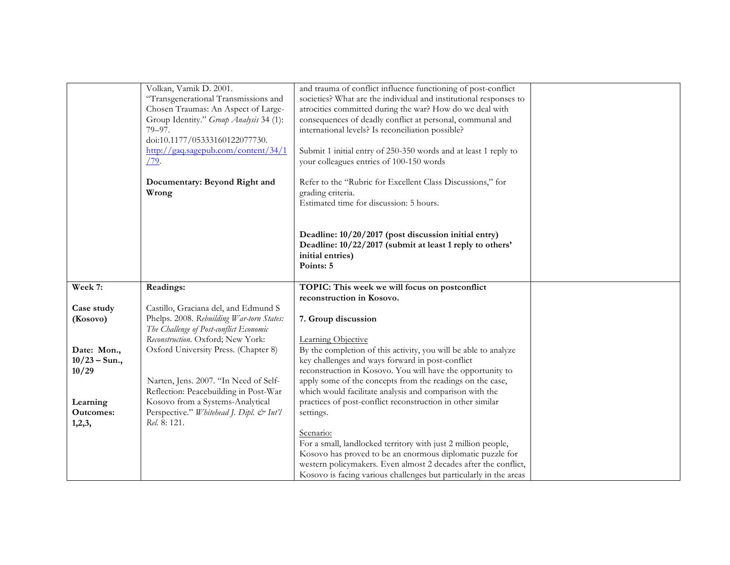|                  | Volkan, Vamik D. 2001.                                                               | and trauma of conflict influence functioning of post-conflict                                                                        |  |
|------------------|--------------------------------------------------------------------------------------|--------------------------------------------------------------------------------------------------------------------------------------|--|
|                  | "Transgenerational Transmissions and<br>Chosen Traumas: An Aspect of Large-          | societies? What are the individual and institutional responses to<br>atrocities committed during the war? How do we deal with        |  |
|                  | Group Identity." Group Analysis 34 (1):                                              | consequences of deadly conflict at personal, communal and                                                                            |  |
|                  | 79-97.                                                                               | international levels? Is reconciliation possible?                                                                                    |  |
|                  | doi:10.1177/05333160122077730.                                                       |                                                                                                                                      |  |
|                  | http://gaq.sagepub.com/content/34/1                                                  | Submit 1 initial entry of 250-350 words and at least 1 reply to                                                                      |  |
|                  | $\sqrt{79}$ .                                                                        | your colleagues entries of 100-150 words                                                                                             |  |
|                  |                                                                                      |                                                                                                                                      |  |
|                  | Documentary: Beyond Right and                                                        | Refer to the "Rubric for Excellent Class Discussions," for                                                                           |  |
|                  | Wrong                                                                                | grading criteria.                                                                                                                    |  |
|                  |                                                                                      | Estimated time for discussion: 5 hours.                                                                                              |  |
|                  |                                                                                      |                                                                                                                                      |  |
|                  |                                                                                      |                                                                                                                                      |  |
|                  |                                                                                      | Deadline: 10/20/2017 (post discussion initial entry)                                                                                 |  |
|                  |                                                                                      | Deadline: 10/22/2017 (submit at least 1 reply to others'                                                                             |  |
|                  |                                                                                      | initial entries)                                                                                                                     |  |
|                  |                                                                                      | Points: 5                                                                                                                            |  |
| Week 7:          | Readings:                                                                            | TOPIC: This week we will focus on postconflict                                                                                       |  |
|                  |                                                                                      | reconstruction in Kosovo.                                                                                                            |  |
| Case study       | Castillo, Graciana del, and Edmund S                                                 |                                                                                                                                      |  |
|                  |                                                                                      |                                                                                                                                      |  |
|                  |                                                                                      |                                                                                                                                      |  |
| (Kosovo)         | Phelps. 2008. Rebuilding War-torn States:<br>The Challenge of Post-conflict Economic | 7. Group discussion                                                                                                                  |  |
|                  | Reconstruction. Oxford; New York:                                                    | Learning Objective                                                                                                                   |  |
| Date: Mon.,      | Oxford University Press. (Chapter 8)                                                 | By the completion of this activity, you will be able to analyze                                                                      |  |
| $10/23 - Sun.$   |                                                                                      | key challenges and ways forward in post-conflict                                                                                     |  |
| 10/29            |                                                                                      | reconstruction in Kosovo. You will have the opportunity to                                                                           |  |
|                  | Narten, Jens. 2007. "In Need of Self-                                                | apply some of the concepts from the readings on the case,                                                                            |  |
|                  | Reflection: Peacebuilding in Post-War                                                | which would facilitate analysis and comparison with the                                                                              |  |
| Learning         | Kosovo from a Systems-Analytical                                                     | practices of post-conflict reconstruction in other similar                                                                           |  |
| <b>Outcomes:</b> | Perspective." Whitehead J. Dipl. & Int'l                                             | settings.                                                                                                                            |  |
| 1,2,3,           | Rel. 8: 121.                                                                         |                                                                                                                                      |  |
|                  |                                                                                      | Scenario:                                                                                                                            |  |
|                  |                                                                                      | For a small, landlocked territory with just 2 million people,                                                                        |  |
|                  |                                                                                      | Kosovo has proved to be an enormous diplomatic puzzle for                                                                            |  |
|                  |                                                                                      | western policymakers. Even almost 2 decades after the conflict,<br>Kosovo is facing various challenges but particularly in the areas |  |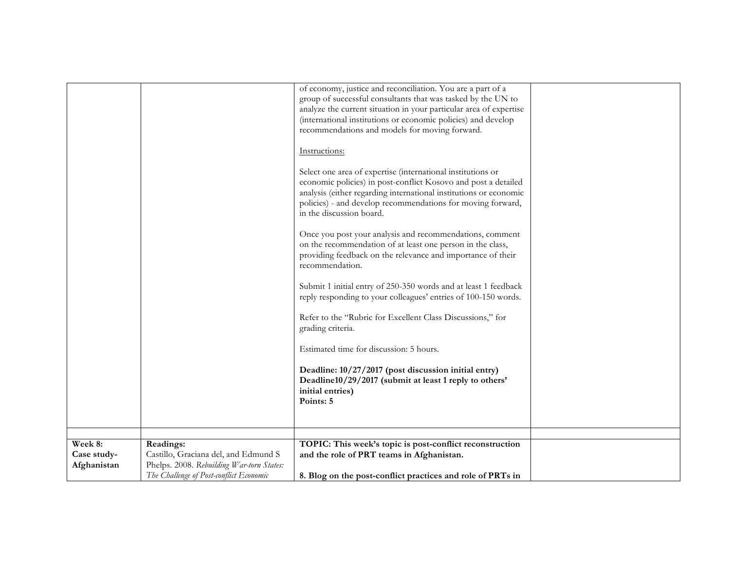|                                       |                                                                                                                                           | of economy, justice and reconciliation. You are a part of a<br>group of successful consultants that was tasked by the UN to<br>analyze the current situation in your particular area of expertise<br>(international institutions or economic policies) and develop<br>recommendations and models for moving forward. |  |
|---------------------------------------|-------------------------------------------------------------------------------------------------------------------------------------------|----------------------------------------------------------------------------------------------------------------------------------------------------------------------------------------------------------------------------------------------------------------------------------------------------------------------|--|
|                                       |                                                                                                                                           | Instructions:                                                                                                                                                                                                                                                                                                        |  |
|                                       |                                                                                                                                           | Select one area of expertise (international institutions or<br>economic policies) in post-conflict Kosovo and post a detailed<br>analysis (either regarding international institutions or economic<br>policies) - and develop recommendations for moving forward,<br>in the discussion board.                        |  |
|                                       |                                                                                                                                           | Once you post your analysis and recommendations, comment<br>on the recommendation of at least one person in the class,<br>providing feedback on the relevance and importance of their<br>recommendation.                                                                                                             |  |
|                                       |                                                                                                                                           | Submit 1 initial entry of 250-350 words and at least 1 feedback<br>reply responding to your colleagues' entries of 100-150 words.                                                                                                                                                                                    |  |
|                                       |                                                                                                                                           | Refer to the "Rubric for Excellent Class Discussions," for<br>grading criteria.                                                                                                                                                                                                                                      |  |
|                                       |                                                                                                                                           | Estimated time for discussion: 5 hours.                                                                                                                                                                                                                                                                              |  |
|                                       |                                                                                                                                           | Deadline: 10/27/2017 (post discussion initial entry)<br>Deadline10/29/2017 (submit at least 1 reply to others'<br>initial entries)<br>Points: 5                                                                                                                                                                      |  |
|                                       |                                                                                                                                           |                                                                                                                                                                                                                                                                                                                      |  |
| Week 8:<br>Case study-<br>Afghanistan | Readings:<br>Castillo, Graciana del, and Edmund S<br>Phelps. 2008. Rebuilding War-torn States:<br>The Challenge of Post-conflict Economic | TOPIC: This week's topic is post-conflict reconstruction<br>and the role of PRT teams in Afghanistan.<br>8. Blog on the post-conflict practices and role of PRTs in                                                                                                                                                  |  |
|                                       |                                                                                                                                           |                                                                                                                                                                                                                                                                                                                      |  |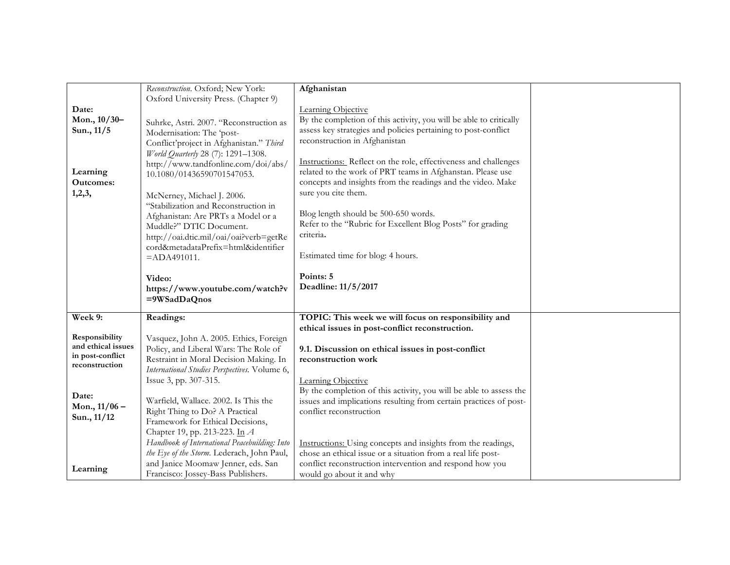|                    | Reconstruction. Oxford; New York:             | Afghanistan                                                        |  |
|--------------------|-----------------------------------------------|--------------------------------------------------------------------|--|
|                    | Oxford University Press. (Chapter 9)          |                                                                    |  |
| Date:              |                                               | Learning Objective                                                 |  |
| Mon., 10/30-       | Suhrke, Astri. 2007. "Reconstruction as       | By the completion of this activity, you will be able to critically |  |
| Sun., 11/5         |                                               | assess key strategies and policies pertaining to post-conflict     |  |
|                    | Modernisation: The 'post-                     | reconstruction in Afghanistan                                      |  |
|                    | Conflict'project in Afghanistan." Third       |                                                                    |  |
|                    | World Quarterly 28 (7): 1291-1308.            |                                                                    |  |
|                    | http://www.tandfonline.com/doi/abs/           | Instructions: Reflect on the role, effectiveness and challenges    |  |
| Learning           | 10.1080/01436590701547053.                    | related to the work of PRT teams in Afghanstan. Please use         |  |
| <b>Outcomes:</b>   |                                               | concepts and insights from the readings and the video. Make        |  |
| 1,2,3,             | McNerney, Michael J. 2006.                    | sure you cite them.                                                |  |
|                    | "Stabilization and Reconstruction in          |                                                                    |  |
|                    | Afghanistan: Are PRTs a Model or a            | Blog length should be 500-650 words.                               |  |
|                    | Muddle?" DTIC Document.                       | Refer to the "Rubric for Excellent Blog Posts" for grading         |  |
|                    | http://oai.dtic.mil/oai/oai?verb=getRe        | criteria.                                                          |  |
|                    | cord&metadataPrefix=html&identifier           |                                                                    |  |
|                    |                                               | Estimated time for blog: 4 hours.                                  |  |
|                    | $=$ ADA491011.                                |                                                                    |  |
|                    |                                               | Points: 5                                                          |  |
|                    | Video:                                        |                                                                    |  |
|                    | https://www.youtube.com/watch?v               | Deadline: 11/5/2017                                                |  |
|                    | =9WSadDaQnos                                  |                                                                    |  |
| Week 9:            | Readings:                                     | TOPIC: This week we will focus on responsibility and               |  |
|                    |                                               |                                                                    |  |
| Responsibility     |                                               | ethical issues in post-conflict reconstruction.                    |  |
| and ethical issues | Vasquez, John A. 2005. Ethics, Foreign        |                                                                    |  |
| in post-conflict   | Policy, and Liberal Wars: The Role of         | 9.1. Discussion on ethical issues in post-conflict                 |  |
| reconstruction     | Restraint in Moral Decision Making. In        | reconstruction work                                                |  |
|                    | International Studies Perspectives. Volume 6, |                                                                    |  |
|                    | Issue 3, pp. 307-315.                         | Learning Objective                                                 |  |
| Date:              |                                               | By the completion of this activity, you will be able to assess the |  |
|                    | Warfield, Wallace. 2002. Is This the          | issues and implications resulting from certain practices of post-  |  |
| Mon., $11/06$ –    | Right Thing to Do? A Practical                | conflict reconstruction                                            |  |
| Sun., 11/12        | Framework for Ethical Decisions,              |                                                                    |  |
|                    | Chapter 19, pp. 213-223. In A                 |                                                                    |  |
|                    | Handbook of International Peacebuilding: Into | Instructions: Using concepts and insights from the readings,       |  |
|                    | the Eye of the Storm. Lederach, John Paul,    | chose an ethical issue or a situation from a real life post-       |  |
|                    | and Janice Moomaw Jenner, eds. San            | conflict reconstruction intervention and respond how you           |  |
| Learning           | Francisco: Jossey-Bass Publishers.            | would go about it and why                                          |  |
|                    |                                               |                                                                    |  |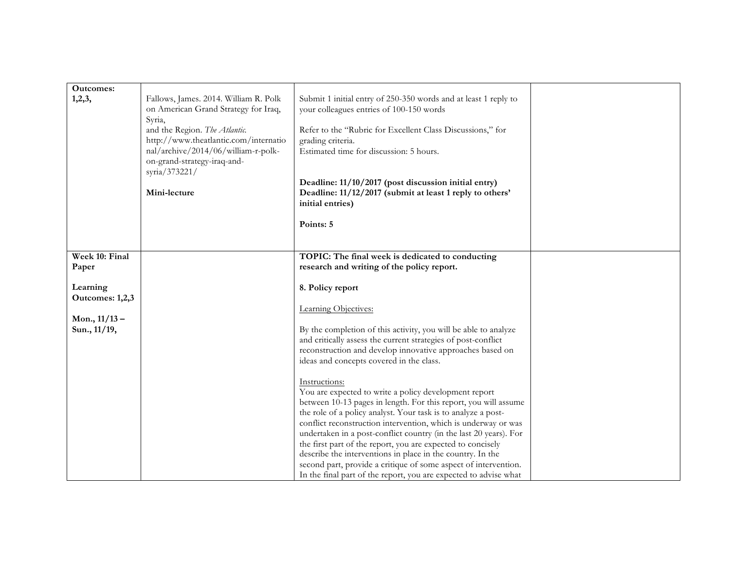| <b>Outcomes:</b><br>1,2,3,                                     | Fallows, James. 2014. William R. Polk<br>on American Grand Strategy for Iraq,<br>Syria,<br>and the Region. The Atlantic.<br>http://www.theatlantic.com/internatio<br>nal/archive/2014/06/william-r-polk-<br>on-grand-strategy-iraq-and-<br>syria/373221/<br>Mini-lecture | Submit 1 initial entry of 250-350 words and at least 1 reply to<br>your colleagues entries of 100-150 words<br>Refer to the "Rubric for Excellent Class Discussions," for<br>grading criteria.<br>Estimated time for discussion: 5 hours.<br>Deadline: 11/10/2017 (post discussion initial entry)<br>Deadline: 11/12/2017 (submit at least 1 reply to others'<br>initial entries)<br>Points: 5                                                                                                                                                                                                                                                                                                                                                                          |  |
|----------------------------------------------------------------|--------------------------------------------------------------------------------------------------------------------------------------------------------------------------------------------------------------------------------------------------------------------------|-------------------------------------------------------------------------------------------------------------------------------------------------------------------------------------------------------------------------------------------------------------------------------------------------------------------------------------------------------------------------------------------------------------------------------------------------------------------------------------------------------------------------------------------------------------------------------------------------------------------------------------------------------------------------------------------------------------------------------------------------------------------------|--|
|                                                                |                                                                                                                                                                                                                                                                          |                                                                                                                                                                                                                                                                                                                                                                                                                                                                                                                                                                                                                                                                                                                                                                         |  |
| Week 10: Final                                                 |                                                                                                                                                                                                                                                                          | TOPIC: The final week is dedicated to conducting                                                                                                                                                                                                                                                                                                                                                                                                                                                                                                                                                                                                                                                                                                                        |  |
| Paper                                                          |                                                                                                                                                                                                                                                                          | research and writing of the policy report.                                                                                                                                                                                                                                                                                                                                                                                                                                                                                                                                                                                                                                                                                                                              |  |
| Learning<br>Outcomes: 1,2,3<br>Mon., $11/13 -$<br>Sun., 11/19, |                                                                                                                                                                                                                                                                          | 8. Policy report<br>Learning Objectives:<br>By the completion of this activity, you will be able to analyze<br>and critically assess the current strategies of post-conflict<br>reconstruction and develop innovative approaches based on<br>ideas and concepts covered in the class.<br>Instructions:<br>You are expected to write a policy development report<br>between 10-13 pages in length. For this report, you will assume<br>the role of a policy analyst. Your task is to analyze a post-<br>conflict reconstruction intervention, which is underway or was<br>undertaken in a post-conflict country (in the last 20 years). For<br>the first part of the report, you are expected to concisely<br>describe the interventions in place in the country. In the |  |
|                                                                |                                                                                                                                                                                                                                                                          | second part, provide a critique of some aspect of intervention.<br>In the final part of the report, you are expected to advise what                                                                                                                                                                                                                                                                                                                                                                                                                                                                                                                                                                                                                                     |  |